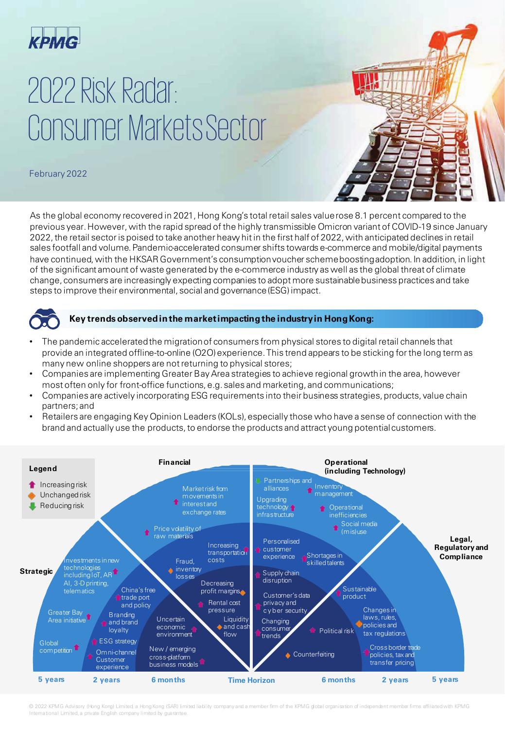

## 2022 Risk Radar: Consumer MarketsSector

February 2022

As the global economy recovered in 2021, Hong Kong's total retail sales value rose 8.1 percent compared to the previous year. However, with the rapid spread of the highly transmissible Omicron variant of COVID-19 since January 2022, the retail sector is poised to take another heavy hit in the first half of 2022, with anticipated declines in retail sales footfall and volume. Pandemic-accelerated consumer shifts towards e-commerce and mobile/digital payments have continued, with the HKSAR Government's consumption voucher scheme boosting adoption. In addition, in light of the significant amount of waste generated by the e-commerce industry as well as the global threat of climate change, consumers are increasingly expecting companies to adopt more sustainable business practices and take steps to improve their environmental, social and governance (ESG) impact.



#### **Key trends observedinthe marketimpactingthe industryin Hong Kong:**

- The pandemic accelerated the migration of consumers from physical stores to digital retail channels that provide an integrated offline-to-online (O2O) experience. This trend appears to be sticking for the long term as many new online shoppers are not returning to physical stores;
- Companies are implementing Greater Bay Area strategies to achieve regional growth in the area, however most often only for front-office functions, e.g. sales and marketing, and communications;
- Companies are actively incorporating ESG requirements into their business strategies, products, value chain partners; and
- Retailers are engaging Key Opinion Leaders (KOLs), especially those who have a sense of connection with the brand and actually use the products, to endorse the products and attract young potential customers.



© 2022 KPMG Advisory (Hong Kong) Limited, a Hong Kong (SAR) limited liability company and a member firm of the KPMG global organisation of independent member firms affiliated with KPMG International Limited, a private English company limited by guarantee.